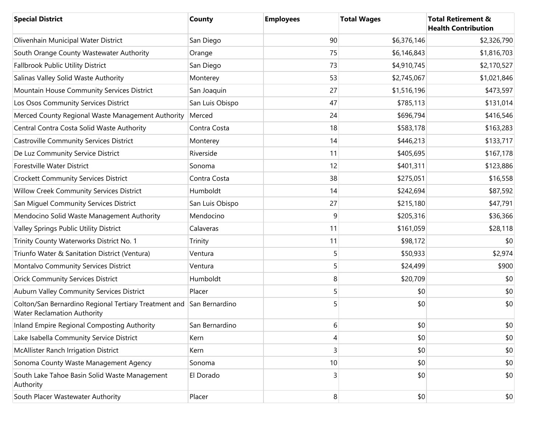| <b>Special District</b>                                                                                    | County          | <b>Employees</b> | <b>Total Wages</b> | <b>Total Retirement &amp;</b><br><b>Health Contribution</b> |
|------------------------------------------------------------------------------------------------------------|-----------------|------------------|--------------------|-------------------------------------------------------------|
| Olivenhain Municipal Water District                                                                        | San Diego       | 90               | \$6,376,146        | \$2,326,790                                                 |
| South Orange County Wastewater Authority                                                                   | Orange          | 75               | \$6,146,843        | \$1,816,703                                                 |
| <b>Fallbrook Public Utility District</b>                                                                   | San Diego       | 73               | \$4,910,745        | \$2,170,527                                                 |
| Salinas Valley Solid Waste Authority                                                                       | Monterey        | 53               | \$2,745,067        | \$1,021,846                                                 |
| Mountain House Community Services District                                                                 | San Joaquin     | 27               | \$1,516,196        | \$473,597                                                   |
| Los Osos Community Services District                                                                       | San Luis Obispo | 47               | \$785,113          | \$131,014                                                   |
| Merced County Regional Waste Management Authority                                                          | Merced          | 24               | \$696,794          | \$416,546                                                   |
| Central Contra Costa Solid Waste Authority                                                                 | Contra Costa    | 18               | \$583,178          | \$163,283                                                   |
| <b>Castroville Community Services District</b>                                                             | Monterey        | 14               | \$446,213          | \$133,717                                                   |
| De Luz Community Service District                                                                          | Riverside       | 11               | \$405,695          | \$167,178                                                   |
| Forestville Water District                                                                                 | Sonoma          | 12               | \$401,311          | \$123,886                                                   |
| <b>Crockett Community Services District</b>                                                                | Contra Costa    | 38               | \$275,051          | \$16,558                                                    |
| Willow Creek Community Services District                                                                   | Humboldt        | 14               | \$242,694          | \$87,592                                                    |
| San Miguel Community Services District                                                                     | San Luis Obispo | 27               | \$215,180          | \$47,791                                                    |
| Mendocino Solid Waste Management Authority                                                                 | Mendocino       | 9                | \$205,316          | \$36,366                                                    |
| Valley Springs Public Utility District                                                                     | Calaveras       | 11               | \$161,059          | \$28,118                                                    |
| Trinity County Waterworks District No. 1                                                                   | Trinity         | 11               | \$98,172           | \$0                                                         |
| Triunfo Water & Sanitation District (Ventura)                                                              | Ventura         | 5                | \$50,933           | \$2,974                                                     |
| Montalvo Community Services District                                                                       | Ventura         | 5                | \$24,499           | \$900                                                       |
| <b>Orick Community Services District</b>                                                                   | Humboldt        | 8                | \$20,709           | \$0                                                         |
| Auburn Valley Community Services District                                                                  | Placer          | 5                | \$0                | \$0                                                         |
| Colton/San Bernardino Regional Tertiary Treatment and San Bernardino<br><b>Water Reclamation Authority</b> |                 | 5                | \$0                | \$0                                                         |
| Inland Empire Regional Composting Authority                                                                | San Bernardino  | 6                | $$0$$              | $$0$$                                                       |
| Lake Isabella Community Service District                                                                   | Kern            | 4                | \$0                | \$0                                                         |
| McAllister Ranch Irrigation District                                                                       | Kern            | 3                | \$0                | \$0                                                         |
| Sonoma County Waste Management Agency                                                                      | Sonoma          | 10               | \$0                | \$0                                                         |
| South Lake Tahoe Basin Solid Waste Management<br>Authority                                                 | El Dorado       | 3                | \$0                | \$0                                                         |
| South Placer Wastewater Authority                                                                          | Placer          | 8                | \$0                | \$0                                                         |